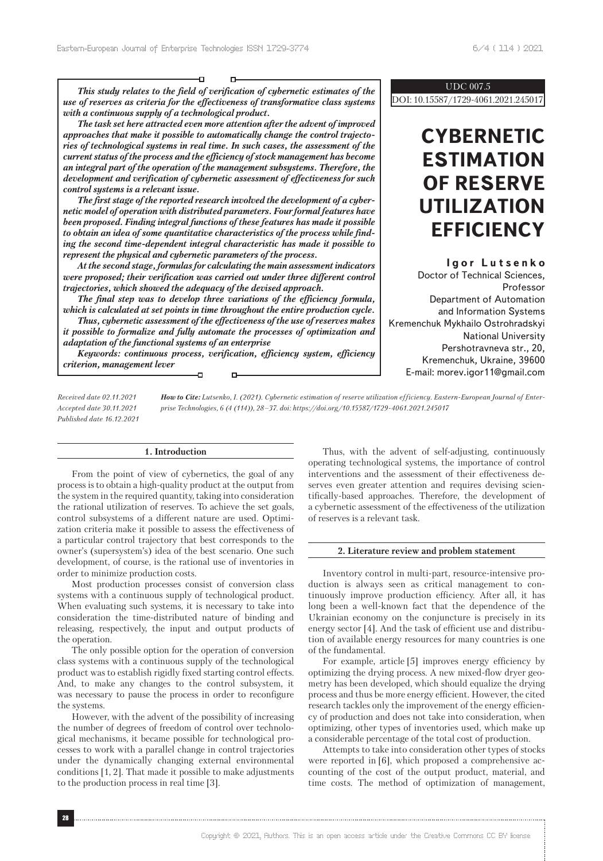*This study relates to the field of verification of cybernetic estimates of the use of reserves as criteria for the effectiveness of transformative class systems with a continuous supply of a technological product.*

D

*The task set here attracted even more attention after the advent of improved approaches that make it possible to automatically change the control trajectories of technological systems in real time. In such cases, the assessment of the current status of the process and the efficiency of stock management has become an integral part of the operation of the management subsystems. Therefore, the development and verification of cybernetic assessment of effectiveness for such control systems is a relevant issue.*

*The first stage of the reported research involved the development of a cybernetic model of operation with distributed parameters. Four formal features have been proposed. Finding integral functions of these features has made it possible to obtain an idea of some quantitative characteristics of the process while finding the second time-dependent integral characteristic has made it possible to represent the physical and cybernetic parameters of the process.*

*At the second stage, formulas for calculating the main assessment indicators were proposed; their verification was carried out under three different control trajectories, which showed the adequacy of the devised approach.* 

*The final step was to develop three variations of the efficiency formula, which is calculated at set points in time throughout the entire production cycle.*

*Thus, cybernetic assessment of the effectiveness of the use of reserves makes it possible to formalize and fully automate the processes of optimization and adaptation of the functional systems of an enterprise*

*Keywords: continuous process, verification, efficiency system, efficiency criterion, management lever* Ð o-

#### UDC 007.5

DOI: 10.15587/1729-4061.2021.245017

# **CYBERNETIC ESTIMATION OF RESERVE UTILIZATION EFFICIENCY**

**Igor Lutsenko** Doctor of Technical Sciences, Professor Department of Automation and Information Systems Kremenchuk Mykhailo Ostrohradskyi National University Pershotravneva str., 20, Kremenchuk, Ukraine, 39600 E-mail: morev.igor11@gmail.com

*How to Cite: Lutsenko, I. (2021). Cybernetic estimation of reserve utilization efficiency. Eastern-European Journal of Enterprise Technologies, 6 (4 (114)), 28–37. doi: https://doi.org/10.15587/1729-4061.2021.245017 Received date 02.11.2021 Accepted date 30.11.2021 Published date 16.12.2021*

### **1. Introduction**

From the point of view of cybernetics, the goal of any process is to obtain a high-quality product at the output from the system in the required quantity, taking into consideration the rational utilization of reserves. To achieve the set goals, control subsystems of a different nature are used. Optimization criteria make it possible to assess the effectiveness of a particular control trajectory that best corresponds to the owner's (supersystem's) idea of the best scenario. One such development, of course, is the rational use of inventories in order to minimize production costs.

Most production processes consist of conversion class systems with a continuous supply of technological product. When evaluating such systems, it is necessary to take into consideration the time-distributed nature of binding and releasing, respectively, the input and output products of the operation.

The only possible option for the operation of conversion class systems with a continuous supply of the technological product was to establish rigidly fixed starting control effects. And, to make any changes to the control subsystem, it was necessary to pause the process in order to reconfigure the systems.

However, with the advent of the possibility of increasing the number of degrees of freedom of control over technological mechanisms, it became possible for technological processes to work with a parallel change in control trajectories under the dynamically changing external environmental conditions [1, 2]. That made it possible to make adjustments to the production process in real time [3].

Thus, with the advent of self-adjusting, continuously operating technological systems, the importance of control interventions and the assessment of their effectiveness deserves even greater attention and requires devising scientifically-based approaches. Therefore, the development of a cybernetic assessment of the effectiveness of the utilization of reserves is a relevant task.

#### **2. Literature review and problem statement**

Inventory control in multi-part, resource-intensive production is always seen as critical management to continuously improve production efficiency. After all, it has long been a well-known fact that the dependence of the Ukrainian economy on the conjuncture is precisely in its energy sector [4]. And the task of efficient use and distribution of available energy resources for many countries is one of the fundamental.

For example, article [5] improves energy efficiency by optimizing the drying process. A new mixed-flow dryer geometry has been developed, which should equalize the drying process and thus be more energy efficient. However, the cited research tackles only the improvement of the energy efficiency of production and does not take into consideration, when optimizing, other types of inventories used, which make up a considerable percentage of the total cost of production.

Attempts to take into consideration other types of stocks were reported in [6], which proposed a comprehensive accounting of the cost of the output product, material, and time costs. The method of optimization of management,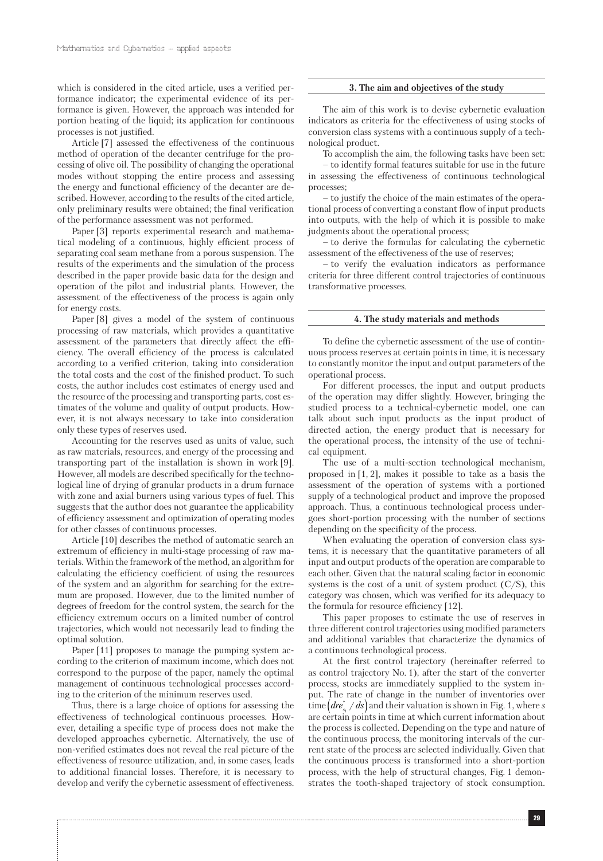which is considered in the cited article, uses a verified performance indicator; the experimental evidence of its performance is given. However, the approach was intended for portion heating of the liquid; its application for continuous processes is not justified.

Article [7] assessed the effectiveness of the continuous method of operation of the decanter centrifuge for the processing of olive oil. The possibility of changing the operational modes without stopping the entire process and assessing the energy and functional efficiency of the decanter are described. However, according to the results of the cited article, only preliminary results were obtained; the final verification of the performance assessment was not performed.

Paper [3] reports experimental research and mathematical modeling of a continuous, highly efficient process of separating coal seam methane from a porous suspension. The results of the experiments and the simulation of the process described in the paper provide basic data for the design and operation of the pilot and industrial plants. However, the assessment of the effectiveness of the process is again only for energy costs.

Paper [8] gives a model of the system of continuous processing of raw materials, which provides a quantitative assessment of the parameters that directly affect the efficiency. The overall efficiency of the process is calculated according to a verified criterion, taking into consideration the total costs and the cost of the finished product. To such costs, the author includes cost estimates of energy used and the resource of the processing and transporting parts, cost estimates of the volume and quality of output products. However, it is not always necessary to take into consideration only these types of reserves used.

Accounting for the reserves used as units of value, such as raw materials, resources, and energy of the processing and transporting part of the installation is shown in work [9]. However, all models are described specifically for the technological line of drying of granular products in a drum furnace with zone and axial burners using various types of fuel. This suggests that the author does not guarantee the applicability of efficiency assessment and optimization of operating modes for other classes of continuous processes.

Article [10] describes the method of automatic search an extremum of efficiency in multi-stage processing of raw materials. Within the framework of the method, an algorithm for calculating the efficiency coefficient of using the resources of the system and an algorithm for searching for the extremum are proposed. However, due to the limited number of degrees of freedom for the control system, the search for the efficiency extremum occurs on a limited number of control trajectories, which would not necessarily lead to finding the optimal solution.

Paper [11] proposes to manage the pumping system according to the criterion of maximum income, which does not correspond to the purpose of the paper, namely the optimal management of continuous technological processes according to the criterion of the minimum reserves used.

Thus, there is a large choice of options for assessing the effectiveness of technological continuous processes. However, detailing a specific type of process does not make the developed approaches cybernetic. Alternatively, the use of non-verified estimates does not reveal the real picture of the effectiveness of resource utilization, and, in some cases, leads to additional financial losses. Therefore, it is necessary to develop and verify the cybernetic assessment of effectiveness.

#### **3. The aim and objectives of the study**

The aim of this work is to devise cybernetic evaluation indicators as criteria for the effectiveness of using stocks of conversion class systems with a continuous supply of a technological product.

To accomplish the aim, the following tasks have been set:

– to identify formal features suitable for use in the future in assessing the effectiveness of continuous technological processes;

– to justify the choice of the main estimates of the operational process of converting a constant flow of input products into outputs, with the help of which it is possible to make judgments about the operational process;

– to derive the formulas for calculating the cybernetic assessment of the effectiveness of the use of reserves;

– to verify the evaluation indicators as performance criteria for three different control trajectories of continuous transformative processes.

### **4. The study materials and methods**

To define the cybernetic assessment of the use of continuous process reserves at certain points in time, it is necessary to constantly monitor the input and output parameters of the operational process.

For different processes, the input and output products of the operation may differ slightly. However, bringing the studied process to a technical-cybernetic model, one can talk about such input products as the input product of directed action, the energy product that is necessary for the operational process, the intensity of the use of technical equipment.

The use of a multi-section technological mechanism, proposed in [1, 2], makes it possible to take as a basis the assessment of the operation of systems with a portioned supply of a technological product and improve the proposed approach. Thus, a continuous technological process undergoes short-portion processing with the number of sections depending on the specificity of the process.

When evaluating the operation of conversion class systems, it is necessary that the quantitative parameters of all input and output products of the operation are comparable to each other. Given that the natural scaling factor in economic systems is the cost of a unit of system product  $(C/S)$ , this category was chosen, which was verified for its adequacy to the formula for resource efficiency [12].

This paper proposes to estimate the use of reserves in three different control trajectories using modified parameters and additional variables that characterize the dynamics of a continuous technological process.

At the first control trajectory (hereinafter referred to as control trajectory No. 1), after the start of the converter process, stocks are immediately supplied to the system input. The rate of change in the number of inventories over  $\text{time}\bigl(dre_{s_i}^*/ds\bigr)$  and their valuation is shown in Fig. 1, where  $s$ are certain points in time at which current information about the process is collected. Depending on the type and nature of the continuous process, the monitoring intervals of the current state of the process are selected individually. Given that the continuous process is transformed into a short-portion process, with the help of structural changes, Fig. 1 demonstrates the tooth-shaped trajectory of stock consumption.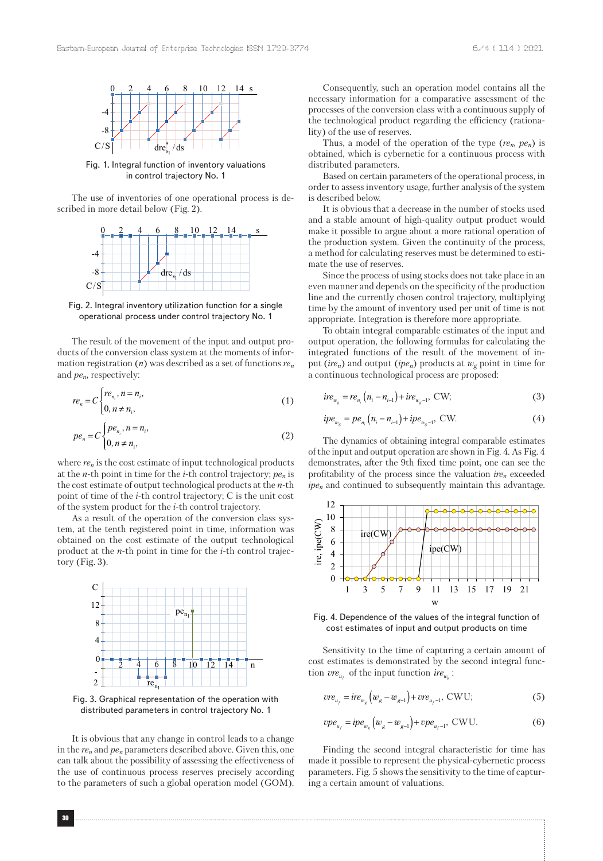

Fig. 1. Integral function of inventory valuations in control trajectory No. 1

The use of inventories of one operational process is described in more detail below (Fig. 2).



Fig. 2. Integral inventory utilization function for a single operational process under control trajectory No. 1

The result of the movement of the input and output products of the conversion class system at the moments of information registration (*n*) was described as a set of functions *ren* and *pen*, respectively:

$$
re_n = C \begin{cases} re_{n_i}, n = n_i, \\ 0, n \neq n_i, \end{cases} \tag{1}
$$

$$
pe_n = C \begin{cases} pe_{n_i}, n = n_i, \\ 0, n \neq n_i, \end{cases}
$$
 (2)

where *ren* is the cost estimate of input technological products at the *n*-th point in time for the *i*-th control trajectory; *pen* is the cost estimate of output technological products at the *n*-th point of time of the *i*-th control trajectory; C is the unit cost of the system product for the *i*-th control trajectory.

As a result of the operation of the conversion class system, at the tenth registered point in time, information was obtained on the cost estimate of the output technological product at the *n*-th point in time for the *i*-th control trajectory (Fig. 3).



Fig. 3. Graphical representation of the operation with distributed parameters in control trajectory No. 1

It is obvious that any change in control leads to a change in the *ren* and *pen* parameters described above. Given this, one can talk about the possibility of assessing the effectiveness of the use of continuous process reserves precisely according to the parameters of such a global operation model (GOM).

Consequently, such an operation model contains all the necessary information for a comparative assessment of the processes of the conversion class with a continuous supply of the technological product regarding the efficiency (rationality) of the use of reserves.

Thus, a model of the operation of the type  $(re_n, pe_n)$  is obtained, which is cybernetic for a continuous process with distributed parameters.

Based on certain parameters of the operational process, in order to assess inventory usage, further analysis of the system is described below.

It is obvious that a decrease in the number of stocks used and a stable amount of high-quality output product would make it possible to argue about a more rational operation of the production system. Given the continuity of the process, a method for calculating reserves must be determined to estimate the use of reserves.

Since the process of using stocks does not take place in an even manner and depends on the specificity of the production line and the currently chosen control trajectory, multiplying time by the amount of inventory used per unit of time is not appropriate. Integration is therefore more appropriate.

To obtain integral comparable estimates of the input and output operation, the following formulas for calculating the integrated functions of the result of the movement of input (*ire<sub>n</sub>*) and output (*ipe<sub>n</sub>*) products at  $w_g$  point in time for a continuous technological process are proposed:

$$
ire_{w_{g}} = re_{n_{i}}(n_{i} - n_{i-1}) + ire_{w_{g} - 1}, \text{ CW};
$$
\n(3)

$$
ipe_{w_g} = pe_{n_i}(n_i - n_{i-1}) + ipe_{w_g - 1}
$$
, CW. (4)

The dynamics of obtaining integral comparable estimates of the input and output operation are shown in Fig. 4. As Fig. 4 demonstrates, after the 9th fixed time point, one can see the profitability of the process since the valuation *iren* exceeded *ipen* and continued to subsequently maintain this advantage.



Fig. 4. Dependence of the values of the integral function of cost estimates of input and output products on time

Sensitivity to the time of capturing a certain amount of cost estimates is demonstrated by the second integral function  $\mathit{vre}_{u_f}$  of the input function  $\mathit{ire}_{w_g}$ :

$$
vre_{u_f} = ire_{w_g}(w_g - w_{g-1}) + vre_{u_f-1}, \text{CWU};
$$
\n(5)

$$
vpe_{u_f} = ipe_{w_g}(w_g - w_{g-1}) + vpe_{u_f - 1}, \text{CWU}.
$$
 (6)

Finding the second integral characteristic for time has made it possible to represent the physical-cybernetic process parameters. Fig. 5 shows the sensitivity to the time of capturing a certain amount of valuations.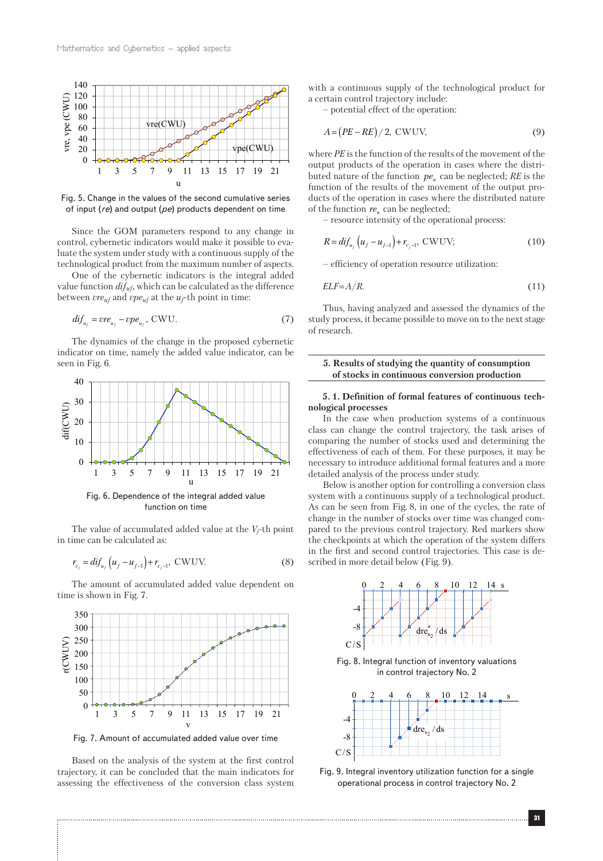

Fig. 5. Change in the values of the second cumulative series of input (*re*) and output (*pe*) products dependent on time

Since the GOM parameters respond to any change in control, cybernetic indicators would make it possible to evaluate the system under study with a continuous supply of the technological product from the maximum number of aspects.

One of the cybernetic indicators is the integral added value function *difuf*, which can be calculated as the difference between *vreuf* and *vpeuf* at the *uf*-th point in time:

$$
di f_{u_f} = v r e_{u_f} - v p e_{u_f}, \text{CWU}.
$$
 (7)

The dynamics of the change in the proposed cybernetic indicator on time, namely the added value indicator, can be seen in Fig. 6.



The value of accumulated added value at the *Vj*-th point in time can be calculated as:

$$
r_{v_j} = \text{d}if_{u_f} \left( u_f - u_{f-1} \right) + r_{v_j - 1}, \text{ CWUV.} \tag{8}
$$

The amount of accumulated added value dependent on time is shown in Fig. 7.



Fig. 7. Amount of accumulated added value over time

Based on the analysis of the system at the first control trajectory, it can be concluded that the main indicators for assessing the effectiveness of the conversion class system with a continuous supply of the technological product for a certain control trajectory include:

– potential effect of the operation:

$$
A = (PE - RE) / 2, \text{CWUV}, \tag{9}
$$

where *PE* is the function of the results of the movement of the output products of the operation in cases where the distributed nature of the function  $pe_n$  can be neglected;  $RE$  is the function of the results of the movement of the output products of the operation in cases where the distributed nature of the function  $re<sub>n</sub>$  can be neglected;

– resource intensity of the operational process:

$$
R = dif_{u_f} \left( u_f - u_{f-1} \right) + r_{v_f - 1}, \text{ CWUV}; \tag{10}
$$

– efficiency of operation resource utilization:

$$
ELF = A/R.
$$
\n<sup>(11)</sup>

Thus, having analyzed and assessed the dynamics of the study process, it became possible to move on to the next stage of research.

#### **5. Results of studying the quantity of consumption of stocks in continuous conversion production**

### **5. 1. Definition of formal features of continuous technological processes**

In the case when production systems of a continuous class can change the control trajectory, the task arises of comparing the number of stocks used and determining the effectiveness of each of them. For these purposes, it may be necessary to introduce additional formal features and a more detailed analysis of the process under study.

Below is another option for controlling a conversion class system with a continuous supply of a technological product. As can be seen from Fig. 8, in one of the cycles, the rate of change in the number of stocks over time was changed compared to the previous control trajectory. Red markers show the checkpoints at which the operation of the system differs in the first and second control trajectories. This case is described in more detail below (Fig. 9).



Fig. 8. Integral function of inventory valuations in control trajectory No. 2



Fig. 9. Integral inventory utilization function for a single operational process in control trajectory No. 2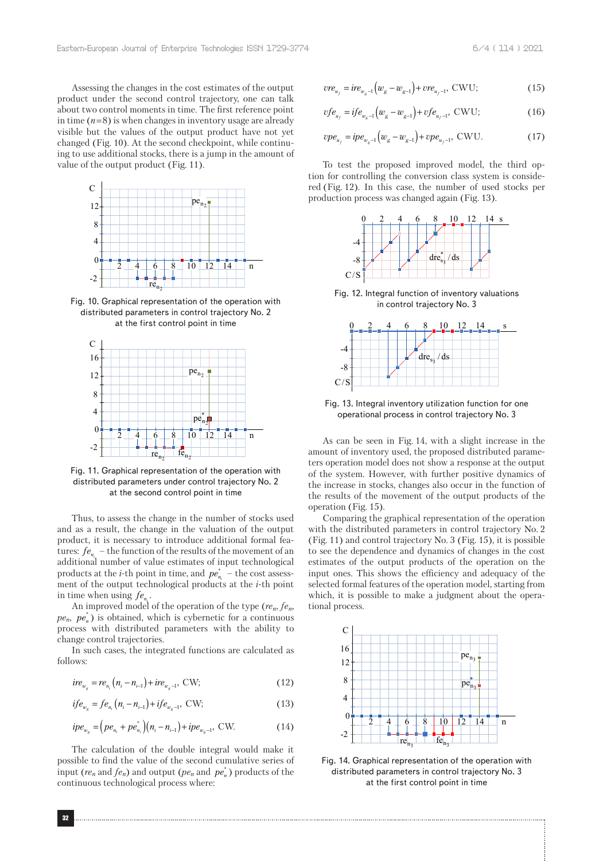Assessing the changes in the cost estimates of the output product under the second control trajectory, one can talk about two control moments in time. The first reference point in time  $(n=8)$  is when changes in inventory usage are already visible but the values of the output product have not yet changed (Fig. 10). At the second checkpoint, while continuing to use additional stocks, there is a jump in the amount of value of the output product (Fig. 11).



Fig. 10. Graphical representation of the operation with distributed parameters in control trajectory No. 2 at the first control point in time



Fig. 11. Graphical representation of the operation with distributed parameters under control trajectory No. 2 at the second control point in time

Thus, to assess the change in the number of stocks used and as a result, the change in the valuation of the output product, it is necessary to introduce additional formal features:  $fe_{n_i}$  – the function of the results of the movement of an additional number of value estimates of input technological products at the *i*-th point in time, and  $pe_{n_i}^*$  – the cost assessment of the output technological products at the *i*-th point in time when using  $fe_{n_i}$ .

An improved model of the operation of the type (*ren*, *fen,*   $pe_n$ ,  $pe_n^*$ ) is obtained, which is cybernetic for a continuous process with distributed parameters with the ability to change control trajectories.

In such cases, the integrated functions are calculated as follows:

$$
ire_{w_{g}} = re_{n_{i}}(n_{i} - n_{i-1}) + ire_{w_{g} - 1}, \text{ CW};
$$
\n(12)

$$
if e_{w_{s}} = fe_{n_{i}}(n_{i} - n_{i-1}) + if e_{w_{s}-1}, \text{ CW};
$$
\n(13)

$$
ipe_{w_g} = (pe_{n_i} + pe_{n_i}^*)(n_i - n_{i-1}) + ipe_{w_g-1}, \text{CW.}
$$
 (14)

The calculation of the double integral would make it possible to find the value of the second cumulative series of input ( $re_n$  and  $fe_n$ ) and output ( $pe_n$  and  $pe_n^*$ ) products of the continuous technological process where:

$$
vre_{u_j} = ire_{w_g-1}(w_g - w_{g-1}) + vre_{u_j-1}, \text{CWU};
$$
\n(15)

$$
vfe_{u_j} = ife_{w_g-1}(w_g - w_{g-1}) + vfe_{u_j-1}, \text{CWU};
$$
\n(16)

$$
vpe_{u_f} = ipe_{w_g-1}(w_g - w_{g-1}) + vpe_{u_f-1}, \text{CWU}.
$$
 (17)

To test the proposed improved model, the third option for controlling the conversion class system is considered (Fig. 12). In this case, the number of used stocks per production process was changed again (Fig. 13).



Fig. 12. Integral function of inventory valuations in control trajectory No. 3



Fig. 13. Integral inventory utilization function for one operational process in control trajectory No. 3

As can be seen in Fig. 14, with a slight increase in the amount of inventory used, the proposed distributed parameters operation model does not show a response at the output of the system. However, with further positive dynamics of the increase in stocks, changes also occur in the function of the results of the movement of the output products of the operation (Fig. 15).

Comparing the graphical representation of the operation with the distributed parameters in control trajectory No. 2 (Fig. 11) and control trajectory No. 3 (Fig. 15), it is possible to see the dependence and dynamics of changes in the cost estimates of the output products of the operation on the input ones. This shows the efficiency and adequacy of the selected formal features of the operation model, starting from which, it is possible to make a judgment about the operational process.



Fig. 14. Graphical representation of the operation with distributed parameters in control trajectory No. 3 at the first control point in time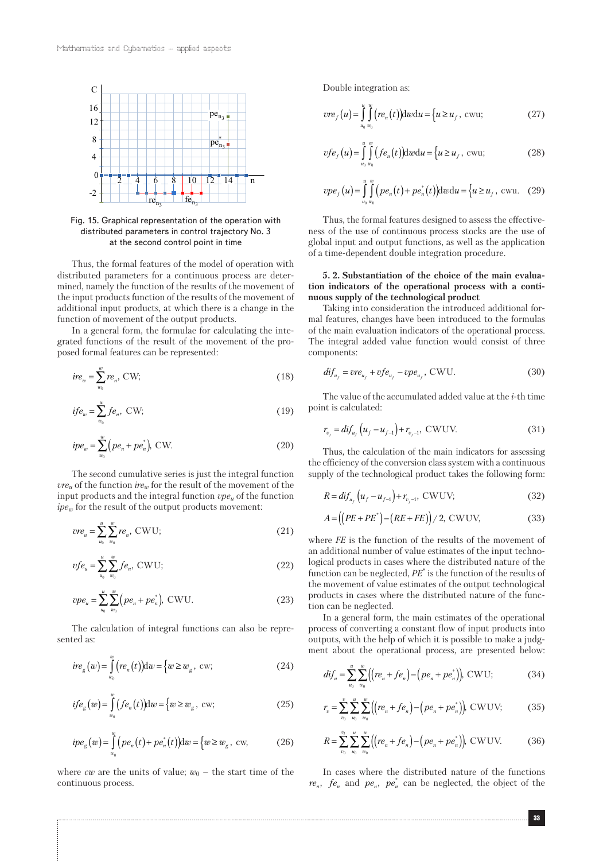

Fig. 15. Graphical representation of the operation with distributed parameters in control trajectory No. 3 at the second control point in time

Thus, the formal features of the model of operation with distributed parameters for a continuous process are determined, namely the function of the results of the movement of the input products function of the results of the movement of additional input products, at which there is a change in the function of movement of the output products.

In a general form, the formulae for calculating the integrated functions of the result of the movement of the proposed formal features can be represented:

$$
ire_w = \sum_{w_0}^{w} re_n, \text{CW};
$$
\n<sup>(18)</sup>

$$
if e_w = \sum_{w_0}^{w} f e_n, \text{ CW};
$$
\n
$$
(19)
$$

$$
ipe_w = \sum_{w_0}^{w} \left( pe_n + pe_n^* \right), \text{ CW.}
$$
 (20)

The second cumulative series is just the integral function  $vre_u$  of the function  $ire_w$  for the result of the movement of the input products and the integral function  $\mathit{vpe}_u$  of the function  $ipe_w$  for the result of the output products movement:

$$
vre_u = \sum_{u_0}^{u} \sum_{w_0}^{w} re_n, \text{CWU};
$$
\n(21)

$$
vfe_u = \sum_{u_0}^{u} \sum_{w_0}^{\infty} fe_u, \text{CWU};\tag{22}
$$

$$
vpe_{u} = \sum_{u_{0}}^{u} \sum_{w_{0}}^{w} \left( pe_{n} + pe_{n}^{*} \right), \text{ CWU.}
$$
 (23)

The calculation of integral functions can also be represented as:

$$
ire_{g}(w) = \int_{w_0}^{w} (re_n(t)) \, \mathrm{d}w = \{w \ge w_{g}, \text{ cw};
$$

$$
if eg(w) = \int_{w_0}^{w} (f e_n(t)) \mathrm{d}w = \{w \ge w_g, \text{ cw};
$$
 (25)

$$
ipe_g(w) = \int_{w_0}^{w} (pe_n(t) + pe_n^*(t))dw = \{w \ge w_g, \text{ cw}, \tag{26}
$$

where *cw* are the units of value;  $w_0$  – the start time of the continuous process.

Double integration as:

$$
vre_j(u) = \int_{u_0}^{u} \int_{v_0}^{v_0} (re_n(t)) \, dvdu = \left\{ u \ge u_j, \text{ cwu};\right\} \tag{27}
$$

$$
vfe_j(u) = \int_{u_0}^{u} \int_{u_0}^{w} (fe_n(t)) \mathrm{d}w \mathrm{d}u = \left\{ u \ge u_j, \text{ cwu};\right\}
$$
 (28)

$$
vpe_{f}(u) = \int_{u_{0}w_{0}}^{u_{0}} \int_{v_{0}}^{w} (pe_{n}(t) + pe_{n}^{*}(t)) \,dv \,du = \{u \ge u_{f}, \text{ cwu.} \quad (29)
$$

Thus, the formal features designed to assess the effectiveness of the use of continuous process stocks are the use of global input and output functions, as well as the application of a time-dependent double integration procedure.

### **5. 2. Substantiation of the choice of the main evaluation indicators of the operational process with a continuous supply of the technological product**

Taking into consideration the introduced additional formal features, changes have been introduced to the formulas of the main evaluation indicators of the operational process. The integral added value function would consist of three components:

$$
di f_{u_f} = v r e_{u_f} + v f e_{u_f} - v p e_{u_f}, \text{CWU.}
$$
 (30)

The value of the accumulated added value at the *i*-th time point is calculated:

$$
r_{v_j} = \frac{di f_{u_j} (u_f - u_{f-1}) + r_{v_j - 1}}{1} \text{CWUV.}
$$
 (31)

Thus, the calculation of the main indicators for assessing the efficiency of the conversion class system with a continuous supply of the technological product takes the following form:

$$
R = dif_{u_f} (u_f - u_{f-1}) + r_{v_f-1}, \text{CWUV};
$$
\n(32)

$$
A = ((PE + PE*) - (RE + FE)) / 2, \text{CWUV}, \tag{33}
$$

where *FE* is the function of the results of the movement of an additional number of value estimates of the input technological products in cases where the distributed nature of the function can be neglected, *PE*\* is the function of the results of the movement of value estimates of the output technological products in cases where the distributed nature of the function can be neglected.

In a general form, the main estimates of the operational process of converting a constant flow of input products into outputs, with the help of which it is possible to make a judgment about the operational process, are presented below:

$$
di f_u = \sum_{u_0}^{u} \sum_{w_0}^{w} \Big( \Big( r e_n + f e_n \Big) - \Big( p e_n + p e_n^* \Big) \Big), \text{ CWU}; \tag{34}
$$

$$
r_v = \sum_{v_0}^{v} \sum_{u_0}^{u} \sum_{w_0}^{w} \left( \left( r e_n + f e_n \right) - \left( p e_n + p e_n^* \right) \right), \text{CWUV};
$$
 (35)

$$
R = \sum_{v_0}^{v_1} \sum_{u_0}^{u} \sum_{w_0}^{w} \Big( \Big( r e_n + f e_n \Big) - \Big( p e_n + p e_n^* \Big) \Big), \text{ CWUV.} \tag{36}
$$

In cases where the distributed nature of the functions  $re_n$ ,  $fe_n$  and  $pe_n$ ,  $pe_n$ <sup>\*</sup> can be neglected, the object of the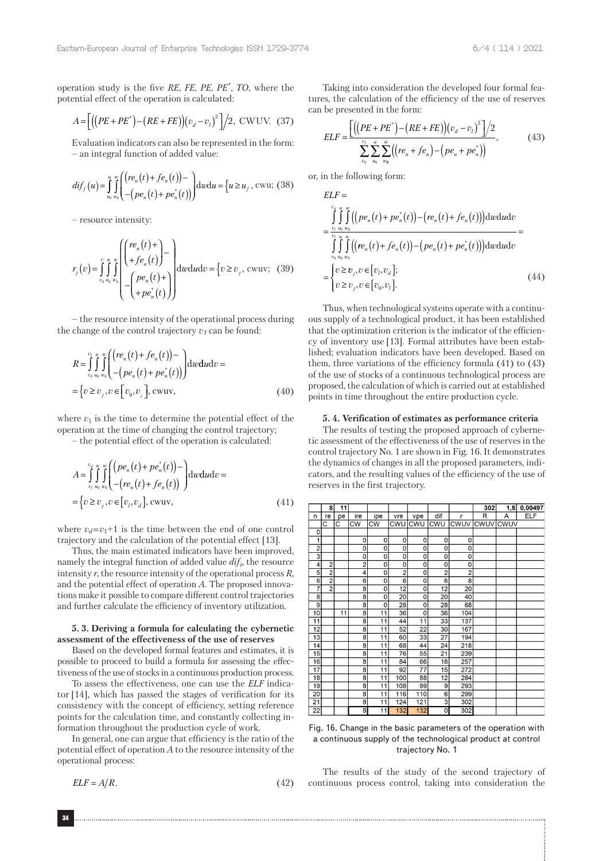operation study is the five *RE*, *FE*, *PE*, *PE\**, *TO*, where the potential effect of the operation is calculated:

$$
A = \left[ \left( \left( PE + PE^* \right) - \left( RE + FE \right) \right) \left( v_d - v_l \right)^2 \right] / 2, \text{ CWUV. (37)}
$$

Evaluation indicators can also be represented in the form: – an integral function of added value:

$$
dif_f(u) = \int_{u_0}^{u} \int_{w_0}^{w} \left( \left( re_n(t) + fe_n(t) \right) - \int_{v_0}^{u_0} \right) \, dv \, du = \left\{ u \ge u_f, \, \text{cwu}; \, (38)
$$

– resource intensity:

$$
r_j(v) = \int_{v_0}^{v} \int_{u_0}^{u} \int_{w_0}^{w} \left( \begin{pmatrix} re_n(t) + \ +fe_n(t) \end{pmatrix} - e_n(t) + \left( \begin{pmatrix} re_n(t) + \ +pe_n(t) \end{pmatrix} \right) \right) \, d\omega \, d\omega \, dv = \left\{ v \ge v_j, \, \text{cwuv}; \quad (39)
$$

– the resource intensity of the operational process during the change of the control trajectory  $v_1$  can be found:

$$
R = \int_{v_0}^{v_l} \int_{u_0}^{u} \int_{w_0}^{w} \left( \frac{(re_n(t) + fe_n(t)) - (pe_n(t) + pe_n^*(t))}{-(pe_n(t) + pe_n^*(t))} \right) dwdudv =
$$
  
=  $\{v \ge v_j, v \in [v_0, v_j], \text{cwuv},$  (40)

where  $v_1$  is the time to determine the potential effect of the operation at the time of changing the control trajectory;

– the potential effect of the operation is calculated:

$$
A = \int_{v_l}^{v_d} \int_{u_0}^{w} \int_{w_0}^{w} \left( \frac{(pe_n(t) + pe_n^*(t))}{-(re_n(t) + fe_n(t))} \right) d\omega d\omega dv =
$$
  
= 
$$
\{v \ge v_j, v \in [v_l, v_d], \text{cwwv},
$$
 (41)

where  $v_d = v_1 + 1$  is the time between the end of one control trajectory and the calculation of the potential effect [13].

Thus, the main estimated indicators have been improved, namely the integral function of added value *difi,* the resource intensity *r*, the resource intensity of the operational process *R*, and the potential effect of operation *A*. The proposed innovations make it possible to compare different control trajectories and further calculate the efficiency of inventory utilization.

## **5. 3. Deriving a formula for calculating the cybernetic assessment of the effectiveness of the use of reserves**

Based on the developed formal features and estimates, it is possible to proceed to build a formula for assessing the effectiveness of the use of stocks in a continuous production process.

To assess the effectiveness, one can use the *ELF* indicator [14], which has passed the stages of verification for its consistency with the concept of efficiency, setting reference points for the calculation time, and constantly collecting information throughout the production cycle of work.

In general, one can argue that efficiency is the ratio of the potential effect of operation *A* to the resource intensity of the operational process:

$$
ELF = A/R.
$$
 (42)

Taking into consideration the developed four formal features, the calculation of the efficiency of the use of reserves can be presented in the form:

$$
ELF = \frac{\left[ ((PE + PE^*) - (RE + FE)) (v_d - v_l)^2 \right] / 2}{\sum_{v_0}^{v_l} \sum_{u_0}^{w} \sum_{w_0}^{w} ((re_n + fe_n) - (pe_n + pe_n^*))},
$$
(43)

or, in the following form:

$$
ELF = \int_{\sum_{v_i u_o w_o \atop v_o u_o w_o}^{v_i u_w w} \int_{\sum_{v_i u_o w_o}^{v_i u_o w_o}}^{\sum_{v_i u_o w_o}^{v_i u_o w_o}} = \int_{\sum_{v_o u_o w_o}^{v_i u_o w_o} \int_{\sum_{v_o u_o w_o}^{v_i v_o}}^{\sum_{v_i u_o w_o}^{v_i v_o}} = \begin{cases} v \ge v_j, v \in [v_j, v_d]; \\ v \ge v_j, v \in [v_0, v_l]. \end{cases} \tag{44}
$$

Thus, when technological systems operate with a continuous supply of a technological product, it has been established that the optimization criterion is the indicator of the efficiency of inventory use [13]. Formal attributes have been established; evaluation indicators have been developed. Based on them, three variations of the efficiency formula (41) to (43) of the use of stocks of a continuous technological process are proposed, the calculation of which is carried out at established points in time throughout the entire production cycle.

#### **5. 4. Verification of estimates as performance criteria**

The results of testing the proposed approach of cybernetic assessment of the effectiveness of the use of reserves in the control trajectory No. 1 are shown in Fig. 16. It demonstrates the dynamics of changes in all the proposed parameters, indicators, and the resulting values of the efficiency of the use of reserves in the first trajectory.

|                 | 8              | 11 |                         |     |                 |                |                 |                | 302  | 1,5  | 0,00497    |
|-----------------|----------------|----|-------------------------|-----|-----------------|----------------|-----------------|----------------|------|------|------------|
| n               | re             | pe | ire                     | ipe | vre             | vpe            | dif             | r              | R    | A    | <b>ELF</b> |
|                 | C              | C  | <b>CW</b>               | CW  | CWU             | CWU            | CWU             | CWUV           | CWUV | CWUV |            |
| 0               |                |    |                         |     |                 |                |                 |                |      |      |            |
| 1               |                |    | 0                       | 0   | 0               | 0              | 0               | 0              |      |      |            |
| $\overline{2}$  |                |    | 0                       | 0   | 0               | $\overline{0}$ | 0               | 0              |      |      |            |
|                 |                |    | 0                       | 0   | 0               | 0              | 0               | 0              |      |      |            |
| 4               | 2              |    | $\overline{c}$          | 0   | 0               | 0              | O               | 0              |      |      |            |
| 5               | $\overline{2}$ |    | 4                       | 0   | $\overline{2}$  | 0              | $\overline{2}$  | $\overline{2}$ |      |      |            |
| 6               | $\overline{2}$ |    | 6                       | 0   | 6               | 0              | 6               | $\overline{8}$ |      |      |            |
| 7               | $\bar{2}$      |    | 8                       | 0   | $\overline{12}$ | 0              | $\overline{12}$ | 20             |      |      |            |
| $\overline{8}$  |                |    | $\overline{8}$          | 0   | 20              | 0              | 20              | 40             |      |      |            |
| 9               |                |    | 8                       | 0   | 28              | 0              | 28              | 68             |      |      |            |
| 10              |                | 11 | 8                       | 11  | 36              | 0              | 36              | 104            |      |      |            |
| 11              |                |    | 8                       | 11  | 44              | 11             | 33              | 137            |      |      |            |
| 12              |                |    | $\overline{8}$          | 11  | 52              | 22             | 30              | 167            |      |      |            |
| 13              |                |    | $\overline{\mathbf{8}}$ | 11  | 60              | 33             | $\overline{27}$ | 194            |      |      |            |
| 14              |                |    | 8                       | 11  | 68              | 44             | 24              | 218            |      |      |            |
| 15              |                |    | 8                       | 11  | 76              | 55             | 21              | 239            |      |      |            |
| 16              |                |    | 8                       | 11  | 84              | 66             | 18              | 257            |      |      |            |
| 17              |                |    | 8                       | 11  | 92              | 77             | 15              | 272            |      |      |            |
| 18              |                |    | 8                       | 11  | 100             | 88             | 12              | 284            |      |      |            |
| 19              |                |    | $\overline{8}$          | 11  | 108             | 99             | 9               | 293            |      |      |            |
| 20              |                |    | 8                       | 11  | 116             | 110            | 6               | 299            |      |      |            |
| $\overline{21}$ |                |    | 8                       | 11  | 124             | 121            | 3               | 302            |      |      |            |
| 22              |                |    | $\overline{8}$          | 11  | 132             | 132            | $\overline{0}$  | 302            |      |      |            |

Fig. 16. Change in the basic parameters of the operation with a continuous supply of the technological product at control trajectory No. 1

The results of the study of the second trajectory of continuous process control, taking into consideration the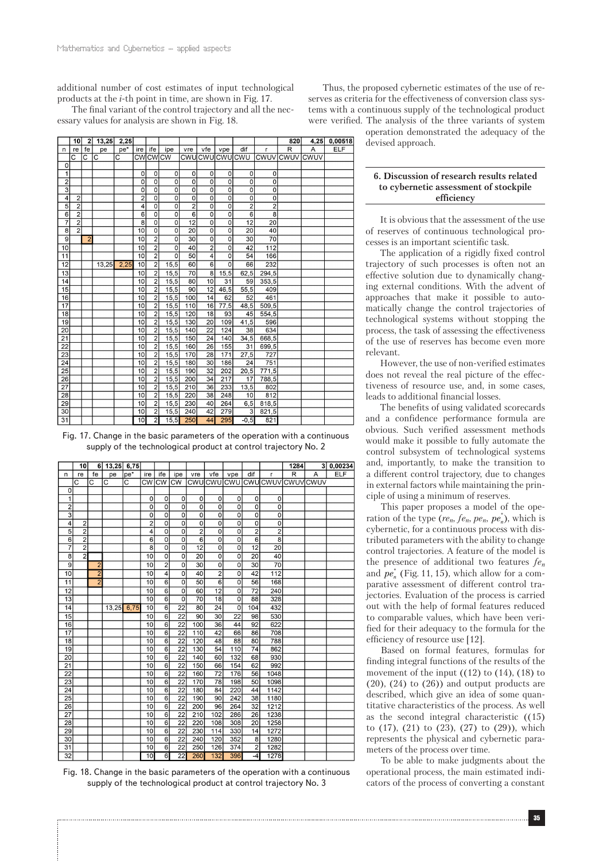additional number of cost estimates of input technological products at the *i*-th point in time, are shown in Fig. 17.

The final variant of the control trajectory and all the necessary values for analysis are shown in Fig. 18.

 $4,25$  0,00518  $|10|$  2 13,25 2,25 820  $ELF$  $|e|$  fe  $ire$  ife vre vfe vpe  $di$  $\overline{R}$  $A$ <br>CWUV  $\overline{n}$  $pe^*$ ipe pe **CMUCMUCMUCMU CMUVICMUV** cwcwcw  $\overline{\circ}$  $\frac{1}{2}$ 이  $\overline{\phantom{a}}$  $\overline{0}$  $\overline{0}$  $\overline{0}$  $\overline{0}$  $\Omega$  $\Omega$ ol - ol  $\overline{0}$  $\mathbf 0$  $\mathbf{0}$  $\Omega$  $\circ$  $\Omega$  $\overline{\overline{3}}$ 히  $\overline{\circ}$  $\overline{\circ}$ ᅙ  $\overline{\circ}$  $\overline{\circ}$  $\overline{\sigma}$ ᅙ  $\overline{4}$ 기  $\overline{\circ}$  $\overline{\circ}$  $\overline{\circ}$  $\overline{\circ}$  $\overline{\circ}$  $\overline{\circ}$ 히  $\overline{2}$  $\overline{4}$  $\frac{5}{7}$  $\overline{0}$  $\overline{\mathfrak{c}}$  $\overline{2}$  $\overline{0}$  $\overline{0}$  $\overline{2}$  $\frac{2}{2}$  $\overline{6}$  $6$  $\overline{\mathbf{0}}$  $\overline{0}$  $\overline{6}$  $\overline{\mathfrak{o}}$  $\overline{\mathbf{0}}$  $\overline{8}$  $\overline{\mathbf{g}}$  $\overline{0}$  $\overline{0}$  $12$  $\overline{0}$  $\overline{0}$  $12$ 20  $\overline{\mathbf{8}}$ 40  $\overline{2}$ 10  $\overline{0}$  $\overline{0}$ 20  $\circ$  $\circ$ 20  $\overline{9}$  $\overline{30}$  $\overline{30}$  $\overline{70}$  $\overline{10}$  $\overline{2}$  $\overline{0}$  $\overline{\mathfrak{o}}$  $\overline{\mathfrak{o}}$  $42$ 10 10  $\frac{2}{2}$  $\overline{0}$ 40  $\overline{2}$  $\Omega$ 112  $\frac{1}{50}$  $\frac{1}{54}$  $\overline{11}$  $\overline{10}$ ಾ 166  $\overline{12}$  $13,25$  $\overline{10}$  $\overline{2}$  $15,5$ 60 66 232 6 0  $\frac{62,5}{59}$  $\overline{13}$  $\overline{2}$  $\overline{70}$  $\overline{10}$  $15.5$  $15.5$  $294.5$ 8  $\overline{\phantom{a}}$  $\frac{1}{31}$  $\overline{14}$  $15,5$  $\overline{80}$  $10$  $353,5$  $\overline{10}$  $\overline{15}$  $15,5$  $10$  $90$  $12 \mid 46,5$  $55,5$  $40<sub>5</sub>$  $\overline{\mathbf{c}}$  $\overline{16}$  $\overline{10}$  $15,5$  $100$  $\overline{14}$ 461  $62$  $5$  $16$  77.5  $\overline{17}$  $10$  $\overline{2}$  $15,5$  $110$  $48,5$  $509,5$ 18 10  $\overline{2}$ 15.5 120 18 93 45 554,5  $\overline{19}$  $109$  $41,5$ 10 15,5 130  $20$ 596  $\overline{20}$  $\overline{10}$  $\frac{1}{140}$  $\overline{22}$ 634  $15,5$  $\overline{124}$ 38  $\overline{21}$  $\overline{10}$  $15,5$ 150  $\overline{24}$  $140$  $34,5$ 668,5 2  $\overline{22}$  $15,5$ 26 155  $\overline{10}$ 2  $160$  $\overline{31}$  $699,5$  $\begin{array}{r} \hline 23 \\ \hline 24 \\ \hline 25 \end{array}$  $27,5$  $10$  $15,5$  $170$  $\boxed{28}$  $171$ 727  $10$ 15.5 180 30 186  $2<sup>2</sup>$ 751  $\overline{10}$  $\overline{32}$  $20,5$  $771.5$ 15.5 190 202  $\frac{1}{26}$  $34$  $\frac{217}{233}$ 788,5 15,5 200 10 17  $\overline{210}$  $\overline{36}$  $\overline{10}$  $15,5$  $13,5$  $802$  $\frac{28}{2}$ 220 38 248 812  $\overline{10}$  $15,5$  $\overline{10}$  $\frac{818,5}{821,5}$  $\frac{29}{30}$  $\begin{array}{|c|c|c|}\n\hline\n15,5 & 230 \\
\hline\n15,5 & 240\n\end{array}$  $\frac{40}{42}$  $\frac{264}{279}$  $\frac{10}{10}$  $6,5$  $\overline{10}$  $31$  $10$  $\overline{2}$  $15,5$  $-250$ 44 295  $-0.5$ 821

Fig. 17. Change in the basic parameters of the operation with a continuous supply of the technological product at control trajectory No. 2

|                           | 10             |               | 6 13,25 6,75 |      |                 |                 |                           |                 |                 |                |                 |                | 1284           |             | 3 0,00234  |
|---------------------------|----------------|---------------|--------------|------|-----------------|-----------------|---------------------------|-----------------|-----------------|----------------|-----------------|----------------|----------------|-------------|------------|
| n                         | re             | fe            | pe           | pe*  | ire             | ife             | ipe                       | vre             | vfe             | vpe            | dif             | r              | $\overline{R}$ | A           | <b>ELF</b> |
|                           | C              | C             | C            | C    | <b>CW</b>       | <b>CW</b>       | <b>CW</b>                 | CWU             |                 | cwulcwu        | lcwu            | CWUV           | CWUV           | <b>CWUV</b> |            |
| 0                         |                |               |              |      |                 |                 |                           |                 |                 |                |                 |                |                |             |            |
| 1                         |                |               |              |      | 0               | 0               | 0                         | 0               | 0               | 0              | 0               | 0              |                |             |            |
| $\overline{2}$            |                |               |              |      | 0               | 0               | 0                         | 0               | 0               | 0              | 0               | 0              |                |             |            |
| $\overline{\overline{3}}$ |                |               |              |      | O               | 0               | O                         | 0               | 0               | 0              | 0               | $\overline{0}$ |                |             |            |
| 4                         | $\overline{2}$ |               |              |      | $\overline{2}$  | 0               | 0                         | $\overline{0}$  | 0               | 0              | $\overline{0}$  | $\overline{0}$ |                |             |            |
| 5                         | $\overline{2}$ |               |              |      | 4               | 0               | O                         | $\overline{2}$  | 0               | 0              | $\overline{2}$  | $\overline{2}$ |                |             |            |
| $\overline{6}$            | $\overline{2}$ |               |              |      | $\overline{6}$  | 0               | $\overline{0}$            | $\overline{6}$  | 0               | $\overline{0}$ | $\overline{6}$  | $\overline{8}$ |                |             |            |
| 7                         | $\overline{2}$ |               |              |      | $\overline{8}$  | 0               | $\overline{0}$            | $\overline{12}$ | 0               | $\overline{0}$ | $\overline{12}$ | 20             |                |             |            |
| 8                         | $\overline{2}$ |               |              |      | 10              | 0               | $\overline{0}$            | 20              | 0               | o              | 20              | 40             |                |             |            |
| $\overline{9}$            |                | 2             |              |      | 10              | $\overline{2}$  | 0                         | 30              | 0               | 0              | 30              | 70             |                |             |            |
| 10                        |                | $\frac{2}{2}$ |              |      | 10              | 4               | $\overline{0}$            | 40              | $\overline{2}$  | $\overline{0}$ | 42              | 112            |                |             |            |
| 11                        |                |               |              |      | $\overline{10}$ | $\overline{6}$  | $\overline{\mathfrak{o}}$ | 50              | $\overline{6}$  | $\overline{0}$ | 56              | 168            |                |             |            |
| 12                        |                |               |              |      | 10              | $\overline{6}$  | 0                         | 60              | 12              | 0              | 72              | 240            |                |             |            |
| 13                        |                |               |              |      | $\overline{10}$ | $\overline{6}$  | 0                         | 70              | $\overline{18}$ | $\overline{0}$ | 88              | 328            |                |             |            |
| 14                        |                |               | 13,25        | 6,75 | 10              | $\overline{6}$  | $\overline{22}$           | 80              | $\overline{24}$ | $\overline{0}$ | 104             | 432            |                |             |            |
| 15                        |                |               |              |      | 10              | 6               | $\overline{22}$           | 90              | 30              | 22             | 98              | 530            |                |             |            |
| 16                        |                |               |              |      | 10              | $\overline{6}$  | $\overline{22}$           | 100             | 36              | 44             | 92              | 622            |                |             |            |
| $\overline{17}$           |                |               |              |      | 10              | $\overline{6}$  | 22                        | 110             | 42              | 66             | 86              | 708            |                |             |            |
| 18                        |                |               |              |      | 10              | $6\overline{6}$ | 22                        | 120             | 48              | 88             | 80              | 788            |                |             |            |
| 19                        |                |               |              |      | 10              | $\overline{6}$  | $\overline{22}$           | 130             | 54              | 110            | 74              | 862            |                |             |            |
| $\overline{20}$           |                |               |              |      | 10              | $\overline{6}$  | $\overline{22}$           | 140             | 60              | 132            | 68              | 930            |                |             |            |
| 21                        |                |               |              |      | 10              | $\overline{6}$  | 22                        | 150             | 66              | 154            | 62              | 992            |                |             |            |
| $\overline{22}$           |                |               |              |      | 10              | $6\overline{6}$ | $\overline{22}$           | 160             | $\overline{72}$ | 176            | 56              | 1048           |                |             |            |
| $\overline{23}$           |                |               |              |      | 10              | $\overline{6}$  | $\overline{22}$           | 170             | $\overline{78}$ | 198            | 50              | 1098           |                |             |            |
| $\overline{24}$           |                |               |              |      | 10              | $\overline{6}$  | 22                        | 180             | 84              | 220            | 44              | 1142           |                |             |            |
| $\overline{25}$           |                |               |              |      | 10              | $\overline{6}$  | $\overline{22}$           | 190             | 90              | 242            | 38              | 1180           |                |             |            |
| 26                        |                |               |              |      | 10              | $\overline{6}$  | 22                        | 200             | 96              | 264            | $\overline{32}$ | 1212           |                |             |            |
| $\overline{27}$           |                |               |              |      | $\overline{10}$ | $\overline{6}$  | $\overline{22}$           | 210             | 102             | 286            | $\overline{26}$ | 1238           |                |             |            |
| 28                        |                |               |              |      | 10              | $\overline{6}$  | 22                        | 220             | 108             | 308            | 20              | 1258           |                |             |            |
| 29                        |                |               |              |      | 10              | $\overline{6}$  | 22                        | 230             | 114             | 330            | 14              | 1272           |                |             |            |
| 30                        |                |               |              |      | 10              | 6               | 22                        | 240             | 120             | 352            | 8               | 1280           |                |             |            |
| $\overline{31}$           |                |               |              |      | 10              | 6               | $\overline{22}$           | 250             | 126             | 374            | $\overline{2}$  | 1282           |                |             |            |
| 32                        |                |               |              |      | 10              | $\overline{6}$  | $\overline{22}$           | 260             | 132             | 396            | $-4$            | 1278           |                |             |            |

Fig. 18. Change in the basic parameters of the operation with a continuous supply of the technological product at control trajectory No. 3

Thus, the proposed cybernetic estimates of the use of reserves as criteria for the effectiveness of conversion class systems with a continuous supply of the technological product were verified. The analysis of the three variants of system

operation demonstrated the adequacy of the devised approach.

## **6. Discussion of research results related to cybernetic assessment of stockpile efficiency**

It is obvious that the assessment of the use of reserves of continuous technological processes is an important scientific task.

The application of a rigidly fixed control trajectory of such processes is often not an effective solution due to dynamically changing external conditions. With the advent of approaches that make it possible to automatically change the control trajectories of technological systems without stopping the process, the task of assessing the effectiveness of the use of reserves has become even more relevant.

However, the use of non-verified estimates does not reveal the real picture of the effectiveness of resource use, and, in some cases, leads to additional financial losses.

The benefits of using validated scorecards and a confidence performance formula are obvious. Such verified assessment methods would make it possible to fully automate the control subsystem of technological systems and, importantly, to make the transition to a different control trajectory, due to changes in external factors while maintaining the principle of using a minimum of reserves.

This paper proposes a model of the operation of the type  $(re_n, fe_n, pe_n, pe_n^*)$ , which is cybernetic, for a continuous process with distributed parameters with the ability to change control trajectories. A feature of the model is the presence of additional two features *fen* and  $pe_n^*$  (Fig. 11, 15), which allow for a comparative assessment of different control trajectories. Evaluation of the process is carried out with the help of formal features reduced to comparable values, which have been verified for their adequacy to the formula for the efficiency of resource use [12].

Based on formal features, formulas for finding integral functions of the results of the movement of the input  $((12)$  to  $(14)$ ,  $(18)$  to  $(20)$ ,  $(24)$  to  $(26)$ ) and output products are described, which give an idea of some quantitative characteristics of the process. As well as the second integral characteristic ((15) to (17), (21) to (23), (27) to (29)), which represents the physical and cybernetic parameters of the process over time.

To be able to make judgments about the operational process, the main estimated indicators of the process of converting a constant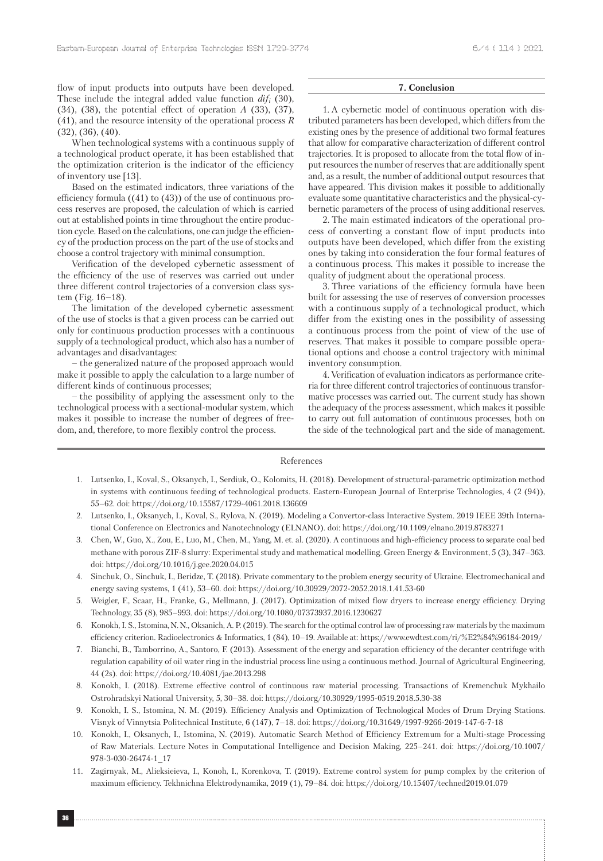flow of input products into outputs have been developed. These include the integral added value function *difi* (30), (34), (38), the potential effect of operation *A* (33), (37), (41), and the resource intensity of the operational process *R* (32), (36), (40).

When technological systems with a continuous supply of a technological product operate, it has been established that the optimization criterion is the indicator of the efficiency of inventory use [13].

Based on the estimated indicators, three variations of the efficiency formula ((41) to (43)) of the use of continuous process reserves are proposed, the calculation of which is carried out at established points in time throughout the entire production cycle. Based on the calculations, one can judge the efficiency of the production process on the part of the use of stocks and choose a control trajectory with minimal consumption.

Verification of the developed cybernetic assessment of the efficiency of the use of reserves was carried out under three different control trajectories of a conversion class system (Fig. 16–18).

The limitation of the developed cybernetic assessment of the use of stocks is that a given process can be carried out only for continuous production processes with a continuous supply of a technological product, which also has a number of advantages and disadvantages:

– the generalized nature of the proposed approach would make it possible to apply the calculation to a large number of different kinds of continuous processes;

– the possibility of applying the assessment only to the technological process with a sectional-modular system, which makes it possible to increase the number of degrees of freedom, and, therefore, to more flexibly control the process.

### **7. Conclusion**

1. A cybernetic model of continuous operation with distributed parameters has been developed, which differs from the existing ones by the presence of additional two formal features that allow for comparative characterization of different control trajectories. It is proposed to allocate from the total flow of input resources the number of reserves that are additionally spent and, as a result, the number of additional output resources that have appeared. This division makes it possible to additionally evaluate some quantitative characteristics and the physical-cybernetic parameters of the process of using additional reserves.

2. The main estimated indicators of the operational process of converting a constant flow of input products into outputs have been developed, which differ from the existing ones by taking into consideration the four formal features of a continuous process. This makes it possible to increase the quality of judgment about the operational process.

3. Three variations of the efficiency formula have been built for assessing the use of reserves of conversion processes with a continuous supply of a technological product, which differ from the existing ones in the possibility of assessing a continuous process from the point of view of the use of reserves. That makes it possible to compare possible operational options and choose a control trajectory with minimal inventory consumption.

4. Verification of evaluation indicators as performance criteria for three different control trajectories of continuous transformative processes was carried out. The current study has shown the adequacy of the process assessment, which makes it possible to carry out full automation of continuous processes, both on the side of the technological part and the side of management.

#### References

- 1. Lutsenko, I., Koval, S., Oksanych, I., Serdiuk, O., Kolomits, H. (2018). Development of structural-parametric optimization method in systems with continuous feeding of technological products. Eastern-European Journal of Enterprise Technologies, 4 (2 (94)), 55–62. doi: https://doi.org/10.15587/1729-4061.2018.136609
- 2. Lutsenko, I., Oksanych, I., Koval, S., Rylova, N. (2019). Modeling a Convertor-class Interactive System. 2019 IEEE 39th International Conference on Electronics and Nanotechnology (ELNANO). doi: https://doi.org/10.1109/elnano.2019.8783271
- 3. Chen, W., Guo, X., Zou, E., Luo, M., Chen, M., Yang, M. et. al. (2020). A continuous and high-efficiency process to separate coal bed methane with porous ZIF-8 slurry: Experimental study and mathematical modelling. Green Energy & Environment, 5 (3), 347–363. doi: https://doi.org/10.1016/j.gee.2020.04.015
- 4. Sinchuk, O., Sinchuk, I., Beridze, T. (2018). Private commentary to the problem energy security of Ukraine. Electromechanical and energy saving systems, 1 (41), 53–60. doi: https://doi.org/10.30929/2072-2052.2018.1.41.53-60
- 5. Weigler, F., Scaar, H., Franke, G., Mellmann, J. (2017). Optimization of mixed flow dryers to increase energy efficiency. Drying Technology, 35 (8), 985–993. doi: https://doi.org/10.1080/07373937.2016.1230627
- 6. Konokh, I. S., Istomina, N. N., Oksanich, A. P. (2019). The search for the optimal control law of processing raw materials by the maximum efficiency criterion. Radioelectronics & Informatics, 1 (84), 10–19. Available at: https://www.ewdtest.com/ri/%E2%84%96184-2019/
- 7. Bianchi, B., Tamborrino, A., Santoro, F. (2013). Assessment of the energy and separation efficiency of the decanter centrifuge with regulation capability of oil water ring in the industrial process line using a continuous method. Journal of Agricultural Engineering, 44 (2s). doi: https://doi.org/10.4081/jae.2013.298
- 8. Konokh, I. (2018). Extreme effective control of continuous raw material processing. Transactions of Kremenchuk Mykhailo Ostrohradskyi National University, 5, 30–38. doi: https://doi.org/10.30929/1995-0519.2018.5.30-38
- 9. Konokh, I. S., Istomina, N. M. (2019). Efficiency Analysis and Optimization of Technological Modes of Drum Drying Stations. Visnyk of Vinnytsia Politechnical Institute, 6 (147), 7–18. doi: https://doi.org/10.31649/1997-9266-2019-147-6-7-18
- 10. Konokh, I., Oksanych, I., Istomina, N. (2019). Automatic Search Method of Efficiency Extremum for a Multi-stage Processing of Raw Materials. Lecture Notes in Computational Intelligence and Decision Making, 225–241. doi: https://doi.org/10.1007/ 978-3-030-26474-1\_17
- 11. Zagirnyak, М., Alieksieieva, I., Konoh, I., Korenkova, T. (2019). Extreme control system for pump complex by the criterion of maximum efficiency. Tekhnichna Elektrodynamika, 2019 (1), 79–84. doi: https://doi.org/10.15407/techned2019.01.079